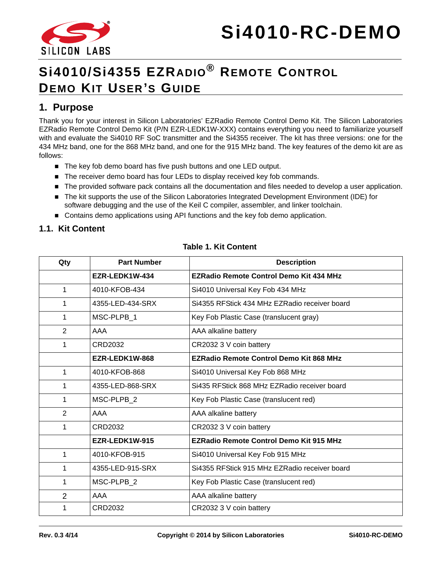



# **Si4010/Si4355 EZRADIO® REMOTE CONTROL DEMO KIT USER 'S GUIDE**

### **1. Purpose**

Thank you for your interest in Silicon Laboratories' EZRadio Remote Control Demo Kit. The Silicon Laboratories EZRadio Remote Control Demo Kit (P/N EZR-LEDK1W-XXX) contains everything you need to familiarize yourself with and evaluate the Si4010 RF SoC transmitter and the Si4355 receiver. The kit has three versions: one for the 434 MHz band, one for the 868 MHz band, and one for the 915 MHz band. The key features of the demo kit are as follows:

- The key fob demo board has five push buttons and one LED output.
- The receiver demo board has four LEDs to display received key fob commands.
- The provided software pack contains all the documentation and files needed to develop a user application.
- The kit supports the use of the Silicon Laboratories Integrated Development Environment (IDE) for software debugging and the use of the Keil C compiler, assembler, and linker toolchain.
- **Contains demo applications using API functions and the key fob demo application.**

#### **1.1. Kit Content**

<span id="page-0-0"></span>

| Qty            | <b>Part Number</b> | <b>Description</b>                             |  |
|----------------|--------------------|------------------------------------------------|--|
|                | EZR-LEDK1W-434     | <b>EZRadio Remote Control Demo Kit 434 MHz</b> |  |
| 1              | 4010-KFOB-434      | Si4010 Universal Key Fob 434 MHz               |  |
| 1              | 4355-LED-434-SRX   | Si4355 RFStick 434 MHz EZRadio receiver board  |  |
| 1              | MSC-PLPB 1         | Key Fob Plastic Case (translucent gray)        |  |
| $\overline{2}$ | AAA                | AAA alkaline battery                           |  |
| 1              | CRD2032            | CR2032 3 V coin battery                        |  |
|                | EZR-LEDK1W-868     | <b>EZRadio Remote Control Demo Kit 868 MHz</b> |  |
| $\mathbf{1}$   | 4010-KFOB-868      | Si4010 Universal Key Fob 868 MHz               |  |
| 1              | 4355-LED-868-SRX   | Si435 RFStick 868 MHz EZRadio receiver board   |  |
| 1              | MSC-PLPB 2         | Key Fob Plastic Case (translucent red)         |  |
| 2              | AAA                | AAA alkaline battery                           |  |
| 1              | CRD2032            | CR2032 3 V coin battery                        |  |
|                | EZR-LEDK1W-915     | <b>EZRadio Remote Control Demo Kit 915 MHz</b> |  |
| 1              | 4010-KFOB-915      | Si4010 Universal Key Fob 915 MHz               |  |
| 1              | 4355-LED-915-SRX   | Si4355 RFStick 915 MHz EZRadio receiver board  |  |
| 1              | MSC-PLPB 2         | Key Fob Plastic Case (translucent red)         |  |
| $\overline{2}$ | AAA                | AAA alkaline battery                           |  |
| 1              | CRD2032            | CR2032 3 V coin battery                        |  |

#### **Table 1. Kit Content**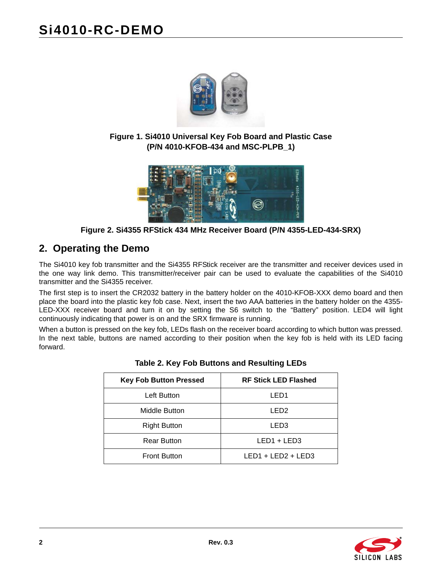

**Figure 1. Si4010 Universal Key Fob Board and Plastic Case (P/N 4010-KFOB-434 and MSC-PLPB\_1)**



**Figure 2. Si4355 RFStick 434 MHz Receiver Board (P/N 4355-LED-434-SRX)**

# <span id="page-1-0"></span>**2. Operating the Demo**

The Si4010 key fob transmitter and the Si4355 RFStick receiver are the transmitter and receiver devices used in the one way link demo. This transmitter/receiver pair can be used to evaluate the capabilities of the Si4010 transmitter and the Si4355 receiver.

The first step is to insert the CR2032 battery in the battery holder on the 4010-KFOB-XXX demo board and then place the board into the plastic key fob case. Next, insert the two AAA batteries in the battery holder on the 4355- LED-XXX receiver board and turn it on by setting the S6 switch to the "Battery" position. LED4 will light continuously indicating that power is on and the SRX firmware is running.

<span id="page-1-1"></span>When a button is pressed on the key fob, LEDs flash on the receiver board according to which button was pressed. In the next table, buttons are named according to their position when the key fob is held with its LED facing forward.

| <b>Key Fob Button Pressed</b> | <b>RF Stick LED Flashed</b> |  |
|-------------------------------|-----------------------------|--|
| Left Button                   | LED1                        |  |
| Middle Button                 | LED <sub>2</sub>            |  |
| <b>Right Button</b>           | LED3                        |  |
| <b>Rear Button</b>            | LED1 + LED3                 |  |
| <b>Front Button</b>           | $LED1 + LED2 + LED3$        |  |

#### **Table 2. Key Fob Buttons and Resulting LEDs**

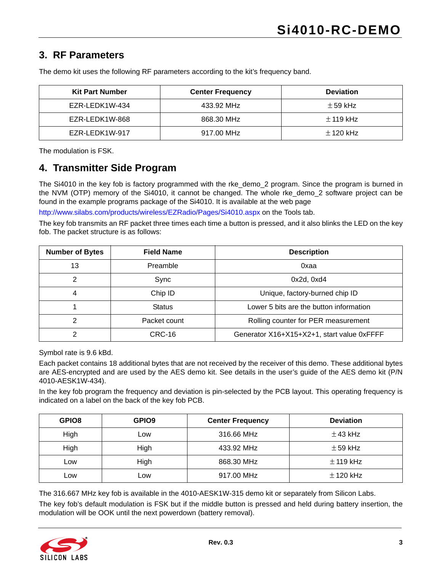## **3. RF Parameters**

| <b>Kit Part Number</b> | <b>Center Frequency</b> | <b>Deviation</b> |
|------------------------|-------------------------|------------------|
| EZR-LEDK1W-434         | 433.92 MHz              | $\pm$ 59 kHz     |
| EZR-LEDK1W-868         | 868.30 MHz              | $\pm$ 119 kHz    |
| EZR-LEDK1W-917         | 917.00 MHz              | $\pm$ 120 kHz    |

The demo kit uses the following RF parameters according to the kit's frequency band.

The modulation is FSK.

### **4. Transmitter Side Program**

The Si4010 in the key fob is factory programmed with the rke\_demo\_2 program. Since the program is burned in the NVM (OTP) memory of the Si4010, it cannot be changed. The whole rke\_demo\_2 software project can be found in the example programs package of the Si4010. It is available at the web page

<http://www.silabs.com/products/wireless/EZRadio/Pages/Si4010.aspx> on the Tools tab.

The key fob transmits an RF packet three times each time a button is pressed, and it also blinks the LED on the key fob. The packet structure is as follows:

| <b>Number of Bytes</b> | <b>Field Name</b>                                   | <b>Description</b>                         |  |
|------------------------|-----------------------------------------------------|--------------------------------------------|--|
| 13                     | Preamble                                            | 0xaa                                       |  |
| 2                      | Sync                                                | $0x2d$ , $0xd4$                            |  |
| 4                      | Chip ID                                             | Unique, factory-burned chip ID             |  |
|                        | <b>Status</b>                                       | Lower 5 bits are the button information    |  |
| 2                      | Packet count<br>Rolling counter for PER measurement |                                            |  |
|                        | CRC-16                                              | Generator X16+X15+X2+1, start value 0xFFFF |  |

Symbol rate is 9.6 kBd.

Each packet contains 18 additional bytes that are not received by the receiver of this demo. These additional bytes are AES-encrypted and are used by the AES demo kit. See details in the user's guide of the AES demo kit (P/N 4010-AESK1W-434).

In the key fob program the frequency and deviation is pin-selected by the PCB layout. This operating frequency is indicated on a label on the back of the key fob PCB.

| GPIO <sub>8</sub> | GPIO <sub>9</sub> | <b>Center Frequency</b> | <b>Deviation</b> |
|-------------------|-------------------|-------------------------|------------------|
| High              | LOW.              | 316.66 MHz              | $\pm$ 43 kHz     |
| High              | High              | 433.92 MHz              | $\pm$ 59 kHz     |
| Low               | High              | 868.30 MHz              | $\pm$ 119 kHz    |
| Low               | .ow               | 917.00 MHz              | $\pm$ 120 kHz    |

The 316.667 MHz key fob is available in the 4010-AESK1W-315 demo kit or separately from Silicon Labs.

The key fob's default modulation is FSK but if the middle button is pressed and held during battery insertion, the modulation will be OOK until the next powerdown (battery removal).

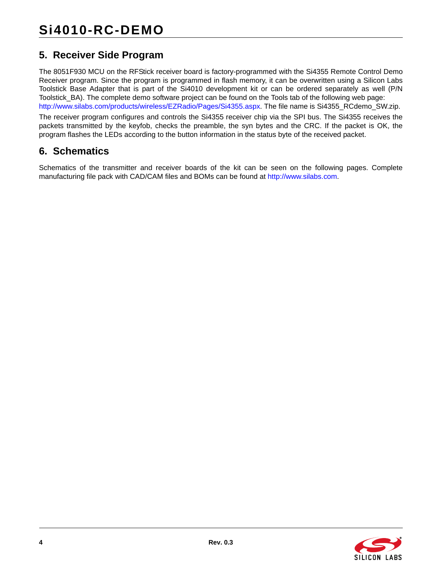# **5. Receiver Side Program**

[The 8051F930 MCU on the RFStick receiver board is factory-programmed with the Si4355 Remote Control Demo](http://www.silabs.com/products/wireless/EZRadio/Pages/Si4355.aspx) Receiver program. Since the program is programmed in flash memory, it can be overwritten using a Silicon Labs Toolstick Base Adapter that is part of the Si4010 development kit or can be ordered separately as well (P/N Toolstick\_BA). The complete demo software project can be found on the Tools tab of the following web page: http://www.silabs.com/products/wireless/EZRadio/Pages/Si4355.aspx. The file name is Si4355\_RCdemo\_SW.zip.

The receiver program configures and controls the Si4355 receiver chip via the SPI bus. The Si4355 receives the packets transmitted by the keyfob, checks the preamble, the syn bytes and the CRC. If the packet is OK, the program flashes the LEDs according to the button information in the status byte of the received packet.

# **6. Schematics**

Schematics of the transmitter and receiver boards of the kit can be seen on the following pages. Complete manufacturing file pack with CAD/CAM files and BOMs can be found a[t http://www.silabs.com](http://www.silabs.com).

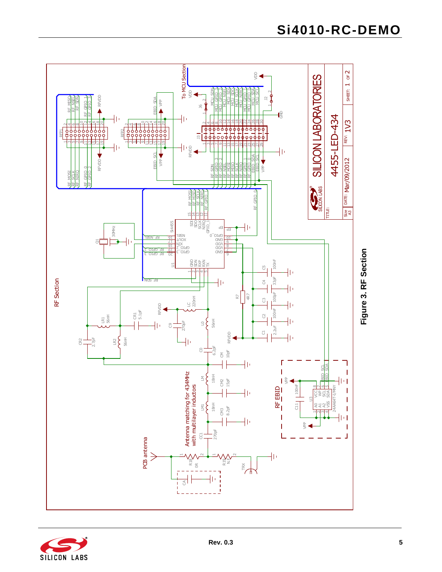



**Si4010-RC-DEMO**

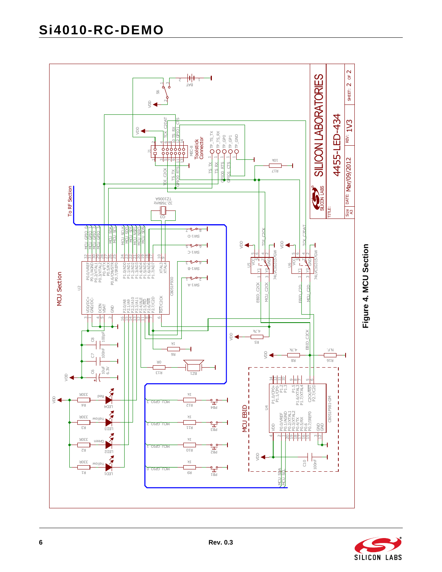# **Si4010-RC-DEMO**





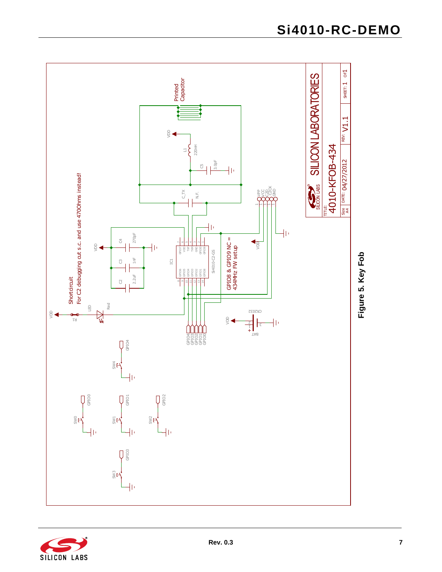

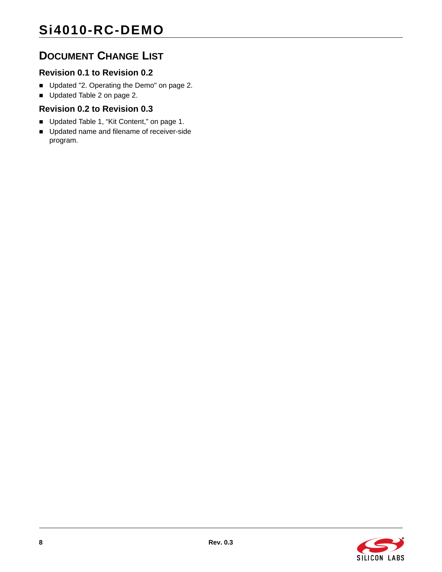# **DOCUMENT CHANGE LIST**

## **Revision 0.1 to Revision 0.2**

- Updated ["2. Operating the Demo" on page 2](#page-1-0).
- Updated [Table 2 on page 2](#page-1-1).

#### **Revision 0.2 to Revision 0.3**

- Updated [Table 1, "Kit Content," on page 1.](#page-0-0)
- **Updated name and filename of receiver-side** program.

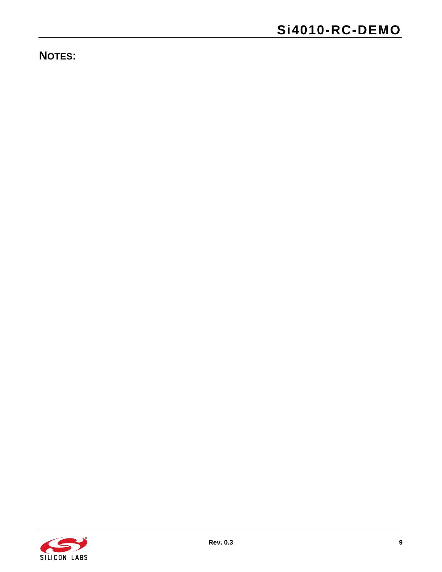**NOTES:**